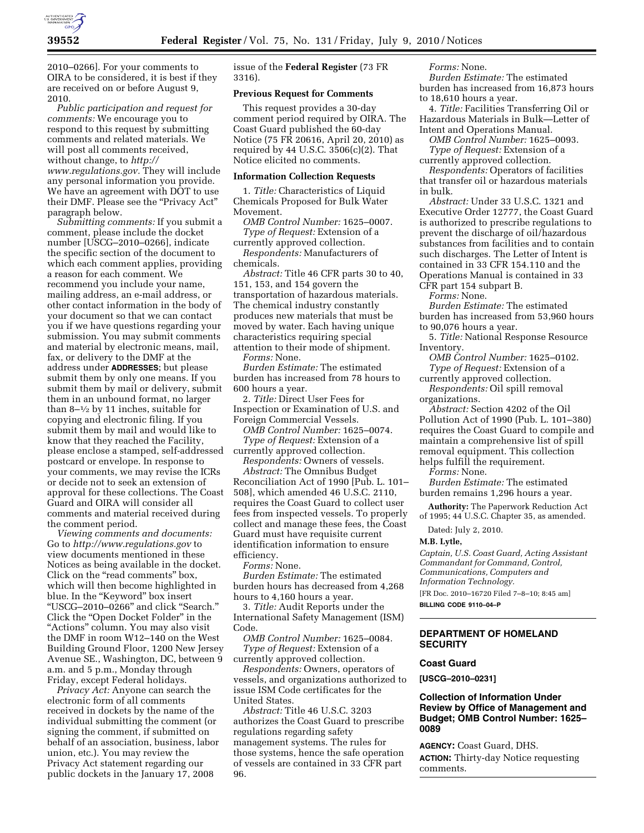

2010–0266]. For your comments to OIRA to be considered, it is best if they are received on or before August 9, 2010.

*Public participation and request for comments:* We encourage you to respond to this request by submitting comments and related materials. We will post all comments received, without change, to *http:// www.regulations.gov.* They will include any personal information you provide. We have an agreement with DOT to use their DMF. Please see the "Privacy Act" paragraph below.

*Submitting comments:* If you submit a comment, please include the docket number [USCG–2010–0266], indicate the specific section of the document to which each comment applies, providing a reason for each comment. We recommend you include your name, mailing address, an e-mail address, or other contact information in the body of your document so that we can contact you if we have questions regarding your submission. You may submit comments and material by electronic means, mail, fax, or delivery to the DMF at the address under **ADDRESSES**; but please submit them by only one means. If you submit them by mail or delivery, submit them in an unbound format, no larger than  $8-1/2$  by 11 inches, suitable for copying and electronic filing. If you submit them by mail and would like to know that they reached the Facility, please enclose a stamped, self-addressed postcard or envelope. In response to your comments, we may revise the ICRs or decide not to seek an extension of approval for these collections. The Coast Guard and OIRA will consider all comments and material received during the comment period.

*Viewing comments and documents:*  Go to *http://www.regulations.gov* to view documents mentioned in these Notices as being available in the docket. Click on the "read comments" box, which will then become highlighted in blue. In the ''Keyword'' box insert ''USCG–2010–0266'' and click ''Search.'' Click the "Open Docket Folder" in the ''Actions'' column. You may also visit the DMF in room W12–140 on the West Building Ground Floor, 1200 New Jersey Avenue SE., Washington, DC, between 9 a.m. and 5 p.m., Monday through Friday, except Federal holidays.

*Privacy Act:* Anyone can search the electronic form of all comments received in dockets by the name of the individual submitting the comment (or signing the comment, if submitted on behalf of an association, business, labor union, etc.). You may review the Privacy Act statement regarding our public dockets in the January 17, 2008

issue of the **Federal Register** (73 FR 3316).

## **Previous Request for Comments**

This request provides a 30-day comment period required by OIRA. The Coast Guard published the 60-day Notice (75 FR 20616, April 20, 2010) as required by 44 U.S.C.  $3506(c)(2)$ . That Notice elicited no comments.

#### **Information Collection Requests**

1. *Title:* Characteristics of Liquid Chemicals Proposed for Bulk Water Movement.

*OMB Control Number:* 1625–0007. *Type of Request:* Extension of a

currently approved collection. *Respondents:* Manufacturers of chemicals.

*Abstract:* Title 46 CFR parts 30 to 40, 151, 153, and 154 govern the transportation of hazardous materials. The chemical industry constantly produces new materials that must be moved by water. Each having unique characteristics requiring special attention to their mode of shipment.

*Forms:* None.

*Burden Estimate:* The estimated burden has increased from 78 hours to 600 hours a year.

2. *Title:* Direct User Fees for Inspection or Examination of U.S. and Foreign Commercial Vessels.

*OMB Control Number:* 1625–0074. *Type of Request:* Extension of a currently approved collection.

*Respondents:* Owners of vessels.

*Abstract:* The Omnibus Budget Reconciliation Act of 1990 [Pub. L. 101– 508], which amended 46 U.S.C. 2110, requires the Coast Guard to collect user fees from inspected vessels. To properly collect and manage these fees, the Coast Guard must have requisite current identification information to ensure efficiency.

*Forms:* None.

*Burden Estimate:* The estimated burden hours has decreased from 4,268 hours to 4,160 hours a year.

3. *Title:* Audit Reports under the International Safety Management (ISM) Code.

*OMB Control Number:* 1625–0084. *Type of Request:* Extension of a

currently approved collection. *Respondents:* Owners, operators of vessels, and organizations authorized to issue ISM Code certificates for the United States.

*Abstract:* Title 46 U.S.C. 3203 authorizes the Coast Guard to prescribe regulations regarding safety management systems. The rules for those systems, hence the safe operation of vessels are contained in 33 CFR part 96.

*Forms:* None.

*Burden Estimate:* The estimated burden has increased from 16,873 hours to 18,610 hours a year.

4. *Title:* Facilities Transferring Oil or Hazardous Materials in Bulk—Letter of Intent and Operations Manual.

*OMB Control Number:* 1625–0093. *Type of Request:* Extension of a

currently approved collection. *Respondents:* Operators of facilities that transfer oil or hazardous materials in bulk.

*Abstract:* Under 33 U.S.C. 1321 and Executive Order 12777, the Coast Guard is authorized to prescribe regulations to prevent the discharge of oil/hazardous substances from facilities and to contain such discharges. The Letter of Intent is contained in 33 CFR 154.110 and the Operations Manual is contained in 33 CFR part 154 subpart B.

*Forms:* None.

*Burden Estimate:* The estimated burden has increased from 53,960 hours to 90,076 hours a year.

5. *Title:* National Response Resource Inventory.

*OMB Control Number:* 1625–0102. *Type of Request:* Extension of a

currently approved collection. *Respondents:* Oil spill removal

organizations.

*Abstract:* Section 4202 of the Oil Pollution Act of 1990 (Pub. L. 101–380) requires the Coast Guard to compile and maintain a comprehensive list of spill removal equipment. This collection helps fulfill the requirement.

*Forms:* None.

*Burden Estimate:* The estimated burden remains 1,296 hours a year.

**Authority:** The Paperwork Reduction Act of 1995; 44 U.S.C. Chapter 35, as amended.

Dated: July 2, 2010.

#### **M.B. Lytle,**

*Captain, U.S. Coast Guard, Acting Assistant Commandant for Command, Control, Communications, Computers and Information Technology.* 

[FR Doc. 2010–16720 Filed 7–8–10; 8:45 am]

**BILLING CODE 9110–04–P** 

# **DEPARTMENT OF HOMELAND SECURITY**

#### **Coast Guard**

**[USCG–2010–0231]** 

## **Collection of Information Under Review by Office of Management and Budget; OMB Control Number: 1625– 0089**

**AGENCY:** Coast Guard, DHS. **ACTION:** Thirty-day Notice requesting comments.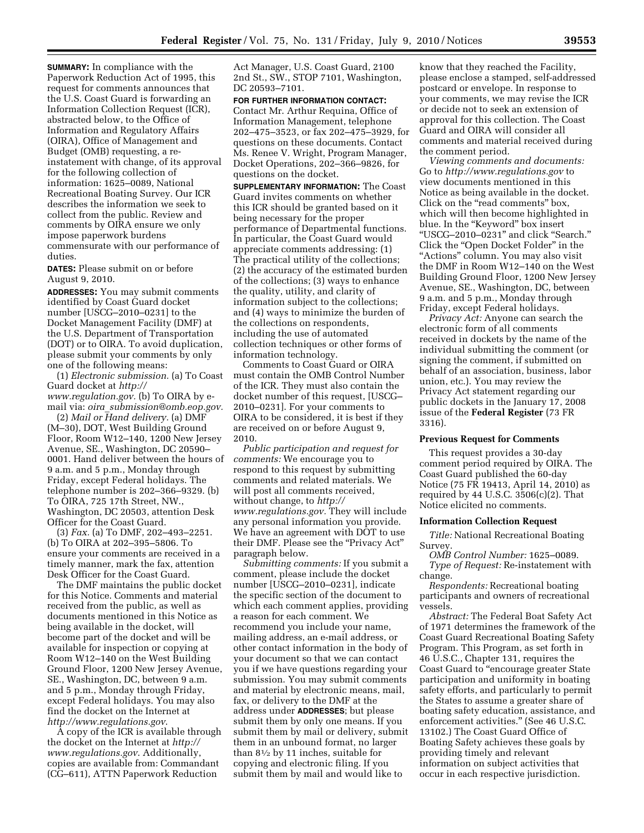**SUMMARY:** In compliance with the Paperwork Reduction Act of 1995, this request for comments announces that the U.S. Coast Guard is forwarding an Information Collection Request (ICR), abstracted below, to the Office of Information and Regulatory Affairs (OIRA), Office of Management and Budget (OMB) requesting, a reinstatement with change, of its approval for the following collection of information: 1625–0089, National Recreational Boating Survey. Our ICR describes the information we seek to collect from the public. Review and comments by OIRA ensure we only impose paperwork burdens commensurate with our performance of duties.

**DATES:** Please submit on or before August 9, 2010.

**ADDRESSES:** You may submit comments identified by Coast Guard docket number [USCG–2010–0231] to the Docket Management Facility (DMF) at the U.S. Department of Transportation (DOT) or to OIRA. To avoid duplication, please submit your comments by only one of the following means:

(1) *Electronic submission.* (a) To Coast Guard docket at *http:// www.regulation.gov.* (b) To OIRA by email via: *oira*\_*submission@omb.eop.gov.* 

(2) *Mail or Hand delivery.* (a) DMF (M–30), DOT, West Building Ground Floor, Room W12–140, 1200 New Jersey Avenue, SE., Washington, DC 20590– 0001. Hand deliver between the hours of 9 a.m. and 5 p.m., Monday through Friday, except Federal holidays. The telephone number is 202–366–9329. (b) To OIRA, 725 17th Street, NW., Washington, DC 20503, attention Desk Officer for the Coast Guard.

(3) *Fax.* (a) To DMF, 202–493–2251. (b) To OIRA at 202–395–5806. To ensure your comments are received in a timely manner, mark the fax, attention Desk Officer for the Coast Guard.

The DMF maintains the public docket for this Notice. Comments and material received from the public, as well as documents mentioned in this Notice as being available in the docket, will become part of the docket and will be available for inspection or copying at Room W12–140 on the West Building Ground Floor, 1200 New Jersey Avenue, SE., Washington, DC, between 9 a.m. and 5 p.m., Monday through Friday, except Federal holidays. You may also find the docket on the Internet at *http://www.regulations.gov*.

A copy of the ICR is available through the docket on the Internet at *http:// www.regulations.gov*. Additionally, copies are available from: Commandant (CG–611), ATTN Paperwork Reduction

Act Manager, U.S. Coast Guard, 2100 2nd St., SW., STOP 7101, Washington, DC 20593–7101.

#### **FOR FURTHER INFORMATION CONTACT:**

Contact Mr. Arthur Requina, Office of Information Management, telephone 202–475–3523, or fax 202–475–3929, for questions on these documents. Contact Ms. Renee V. Wright, Program Manager, Docket Operations, 202–366–9826, for questions on the docket.

**SUPPLEMENTARY INFORMATION:** The Coast Guard invites comments on whether this ICR should be granted based on it being necessary for the proper performance of Departmental functions. In particular, the Coast Guard would appreciate comments addressing: (1) The practical utility of the collections; (2) the accuracy of the estimated burden of the collections; (3) ways to enhance the quality, utility, and clarity of information subject to the collections; and (4) ways to minimize the burden of the collections on respondents, including the use of automated collection techniques or other forms of information technology.

Comments to Coast Guard or OIRA must contain the OMB Control Number of the ICR. They must also contain the docket number of this request, [USCG– 2010–0231]. For your comments to OIRA to be considered, it is best if they are received on or before August 9, 2010.

*Public participation and request for comments:* We encourage you to respond to this request by submitting comments and related materials. We will post all comments received, without change, to *http:// www.regulations.gov.* They will include any personal information you provide. We have an agreement with DOT to use their DMF. Please see the ''Privacy Act'' paragraph below.

*Submitting comments:* If you submit a comment, please include the docket number [USCG–2010–0231], indicate the specific section of the document to which each comment applies, providing a reason for each comment. We recommend you include your name, mailing address, an e-mail address, or other contact information in the body of your document so that we can contact you if we have questions regarding your submission. You may submit comments and material by electronic means, mail, fax, or delivery to the DMF at the address under **ADDRESSES**; but please submit them by only one means. If you submit them by mail or delivery, submit them in an unbound format, no larger than 81⁄2 by 11 inches, suitable for copying and electronic filing. If you submit them by mail and would like to

know that they reached the Facility, please enclose a stamped, self-addressed postcard or envelope. In response to your comments, we may revise the ICR or decide not to seek an extension of approval for this collection. The Coast Guard and OIRA will consider all comments and material received during the comment period.

*Viewing comments and documents:*  Go to *http://www.regulations.gov* to view documents mentioned in this Notice as being available in the docket. Click on the ''read comments'' box, which will then become highlighted in blue. In the ''Keyword'' box insert ''USCG–2010–0231'' and click ''Search.'' Click the "Open Docket Folder" in the "Actions" column. You may also visit the DMF in Room W12–140 on the West Building Ground Floor, 1200 New Jersey Avenue, SE., Washington, DC, between 9 a.m. and 5 p.m., Monday through Friday, except Federal holidays.

*Privacy Act:* Anyone can search the electronic form of all comments received in dockets by the name of the individual submitting the comment (or signing the comment, if submitted on behalf of an association, business, labor union, etc.). You may review the Privacy Act statement regarding our public dockets in the January 17, 2008 issue of the **Federal Register** (73 FR 3316).

#### **Previous Request for Comments**

This request provides a 30-day comment period required by OIRA. The Coast Guard published the 60-day Notice (75 FR 19413, April 14, 2010) as required by 44 U.S.C.  $3506(c)(2)$ . That Notice elicited no comments.

### **Information Collection Request**

*Title:* National Recreational Boating Survey.

*OMB Control Number:* 1625–0089. *Type of Request:* Re-instatement with change.

*Respondents:* Recreational boating participants and owners of recreational vessels.

*Abstract:* The Federal Boat Safety Act of 1971 determines the framework of the Coast Guard Recreational Boating Safety Program. This Program, as set forth in 46 U.S.C., Chapter 131, requires the Coast Guard to ''encourage greater State participation and uniformity in boating safety efforts, and particularly to permit the States to assume a greater share of boating safety education, assistance, and enforcement activities.'' (See 46 U.S.C. 13102.) The Coast Guard Office of Boating Safety achieves these goals by providing timely and relevant information on subject activities that occur in each respective jurisdiction.